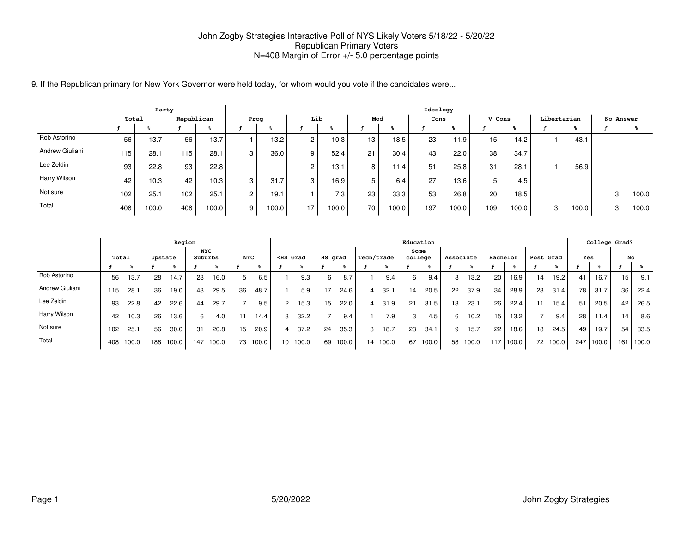9. If the Republican primary for New York Governor were held today, for whom would you vote if the candidates were...

|                 |       | Party |                  |       |                |       |          |                  |     |       |      | Ideology          |                 |       |             |       |           |       |
|-----------------|-------|-------|------------------|-------|----------------|-------|----------|------------------|-----|-------|------|-------------------|-----------------|-------|-------------|-------|-----------|-------|
|                 | Total |       | Republican       |       | Prog           |       | Lib      |                  | Mod |       | Cons |                   | V Cons          |       | Libertarian |       | No Answer |       |
|                 |       |       |                  |       |                | - 75  |          |                  |     |       |      |                   |                 |       |             |       |           |       |
| Rob Astorino    | 56    | 13.7  | 56               | 13.7  |                | 13.2  | C        | 10.3             | 13  | 18.5  | 23   | 11.9              | 15 <sub>1</sub> | 14.2  |             | 43.1  |           |       |
| Andrew Giuliani | 115   | 28.1  | 115              | 28.1  | 3              | 36.0  | 9        | 52.4             | 21  | 30.4  | 43   | 22.0              | 38              | 34.7  |             |       |           |       |
| Lee Zeldin      | 93    | 22.8  | 93               | 22.8  |                |       | $\Omega$ | 13.1             | 8   | 11.4  | 51   | 25.8              | 31              | 28.1  |             | 56.9  |           |       |
| Harry Wilson    | 42    | 10.3  | 42               | 10.3  | 3              | 31.7  | 3        | 16.9             | 5   | 6.4   | 27   | 13.6 <sub>1</sub> | 5               | 4.5   |             |       |           |       |
| Not sure        | 102   | 25.1  | 102 <sub>1</sub> | 25.1  | 2 <sub>1</sub> | 19.1  |          | 7.3 <sub>1</sub> | 23  | 33.3  | 53   | 26.8              | 20              | 18.5  |             |       | 3         | 100.0 |
| Total           | 408   | 100.0 | 408              | 100.0 | 9              | 100.0 | 17       | 100.0            | 70  | 100.0 | 197  | 100.0             | 109             | 100.0 | 3           | 100.0 | 3         | 100.0 |

|                 |     |       |         | Region |                       |       |            |          |                                                                                                                                                                                                                                              |       |                 |       |            |                  | Education |       |           |       |     |          |               |       |     | College Grad? |     |       |
|-----------------|-----|-------|---------|--------|-----------------------|-------|------------|----------|----------------------------------------------------------------------------------------------------------------------------------------------------------------------------------------------------------------------------------------------|-------|-----------------|-------|------------|------------------|-----------|-------|-----------|-------|-----|----------|---------------|-------|-----|---------------|-----|-------|
|                 |     | Total | Upstate |        | <b>NYC</b><br>Suburbs |       | <b>NYC</b> |          | <hs grad<="" th=""><th></th><th>HS grad</th><th></th><th>Tech/trade</th><th></th><th>college</th><th>Some</th><th>Associate</th><th></th><th></th><th>Bachelor</th><th>Post Grad</th><th></th><th>Yes</th><th></th><th>No</th><th></th></hs> |       | HS grad         |       | Tech/trade |                  | college   | Some  | Associate |       |     | Bachelor | Post Grad     |       | Yes |               | No  |       |
|                 |     |       |         |        |                       |       |            |          |                                                                                                                                                                                                                                              |       |                 |       |            |                  |           |       |           |       |     |          |               |       |     |               |     |       |
| Rob Astorino    | 56  | 13.7  | 28      | 14.7   | 23                    | 16.0  | 5          | 6.5      |                                                                                                                                                                                                                                              | 9.3   | 6               | 8.7   |            | 9.4              | 6 I       | 9.4   | 8         | 13.2  | 20  | 16.9     | 14            | 19.2  | 41  | 16.7          | 15  | 9.1   |
| Andrew Giuliani | 15  | 28.1  | 36      | 19.0   | 43                    | 29.5  | 36         | 48.7     |                                                                                                                                                                                                                                              | 5.9   | 17              | 24.6  |            | 32.1             | 14        | 20.5  | 22        | 37.9  | 34  | 28.9     | 23            | 31.4  | 78  | 31.7          | 36  | 22.4  |
| Lee Zeldin      | 93  | 22.8  | 42      | 22.6   | 44                    | 29.7  |            | 9.5      | 2                                                                                                                                                                                                                                            | 15.3  | 15 <sub>1</sub> | 22.0  |            | 31.9             | 21        | 31.5  | 13        | 23.1  | 26  | 22.4     |               | 15.4  | 51  | 20.5          | 42  | 26.5  |
| Harry Wilson    | 42  | 10.3  | 26      | 13.6   | 6                     | 4.0   | 11.        | 14.4     | 3                                                                                                                                                                                                                                            | 32.2  | –               | 9.4   |            | 7.9 <sub>1</sub> |           | 4.5   | 6         | 10.2  | 15  | 13.2     | $\rightarrow$ | 9.4   | 28  | 11.4          | 14  | 8.6   |
| Not sure        | 102 | 25.1  | 56      | 30.0   | 31                    | 20.8  | 15         | 20.9     | 4                                                                                                                                                                                                                                            | 37.2  | 24              | 35.3  | 3          | 18.7             | 23        | 34.1  | 9         | 15.7  | 22  | 18.6     | 18            | 24.5  | 49  | 19.7          | 54  | 33.5  |
| Total           | 408 | 100.0 | 188     | 100.0  | 147                   | 100.0 |            | 73 100.0 | 10 <sup>1</sup>                                                                                                                                                                                                                              | 100.0 | 69              | 100.0 |            | 14 100.0         | 67        | 100.0 | 58        | 100.0 | 117 | 100.0    | 72 I          | 100.0 | 247 | 100.0         | 161 | 100.0 |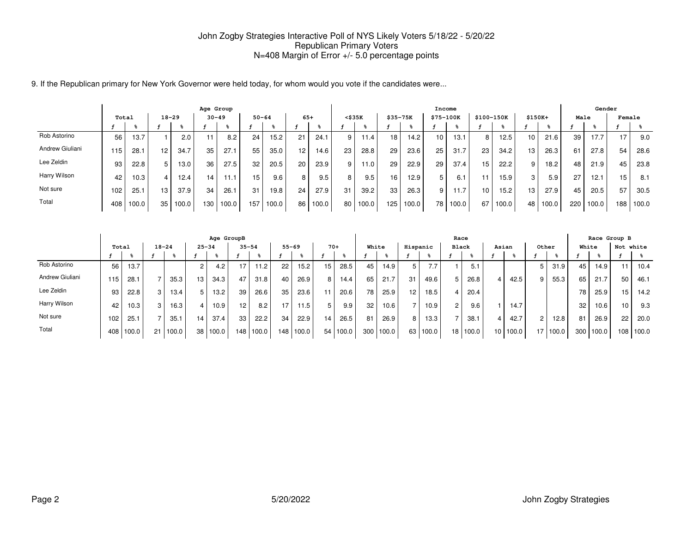9. If the Republican primary for New York Governor were held today, for whom would you vote if the candidates were...

|                 |       |       |                 |       | Age Group |       |                 |       |       |       |    |              |             |       | Income          |       |            |       |                 |       |      | Gender |        |       |
|-----------------|-------|-------|-----------------|-------|-----------|-------|-----------------|-------|-------|-------|----|--------------|-------------|-------|-----------------|-------|------------|-------|-----------------|-------|------|--------|--------|-------|
|                 | Total |       | $18 - 29$       |       | $30 - 49$ |       | $50 - 64$       |       | $65+$ |       |    | $<$ \$35 $K$ | $$35 - 75K$ |       | \$75-100K       |       | \$100-150K |       | $$150K+$        |       | Male |        | Female |       |
|                 |       |       |                 |       |           |       |                 |       |       |       |    |              |             |       |                 |       |            |       |                 |       |      |        |        |       |
| Rob Astorino    | 56    | 13.7  |                 | 2.0   |           | 8.2   | 24              | 15.2  | 21    | 24.1  | 9  | 11.4         | 18          | 14.2  | 10              | 13.1  | 8          | 12.5  | 10 <sup>1</sup> | 21.6  | 39   | 17.7   | 17     | 9.0   |
| Andrew Giuliani | ' 15  | 28.1  | 12 <sub>1</sub> | 34.7  | 35        | 27.1  | 55              | 35.0  | 12    | 14.6  | 23 | 28.8         | 29          | 23.6  | 25              | 31.7  | 23         | 34.2  | 13 <sub>1</sub> | 26.3  | 61   | 27.8   | 54     | 28.6  |
| Lee Zeldin      | 93    | 22.8  | 5.              | 13.0  | 36        | 27.5  | 32              | 20.5  | 20    | 23.9  | 9  | 11.0 I       | 29          | 22.9  | 29              | 37.4  | 15         | 22.2  | 9               | 18.2  | 48   | 21.9   | 45     | 23.8  |
| Harry Wilson    | 42    | 10.3  |                 | 12.4  | 14.       | 11.1  | 15 <sub>1</sub> | 9.6   | 8     | 9.5   | 8  | 9.5          | 16          | 12.9  | 5               | 6.1   |            | 15.9  | 3               | 5.9   | 27   | 12.7   | 15.    | 8.1   |
| Not sure        | 102   | 25.1  | 13 <sub>1</sub> | 37.9  | 34        | 26.1  | 31              | 19.8  | 24    | 27.9  | 31 | 39.2         | 33          | 26.3  | 9               | 11.7  | 10         | 15.2  | 13 <sub>1</sub> | 27.9  | 45   | 20.5   | 57     | 30.5  |
| Total           | 408   | 100.0 | 35              | 100.0 | 130       | 100.0 | 157             | 100.0 | 86    | 100.0 | 80 | 100.0        | 125         | 100.0 | 78 <sub>1</sub> | 100.0 | 67         | 100.0 | 48              | 100.0 | 220  | 100.0  | 188    | 100.0 |

|                 |       |       |           |       |           | Age GroupB |                 |       |                  |           |    |       |     |       |                 |       | Race           |          |         |          |                |       |                  |       | Race Group B |       |
|-----------------|-------|-------|-----------|-------|-----------|------------|-----------------|-------|------------------|-----------|----|-------|-----|-------|-----------------|-------|----------------|----------|---------|----------|----------------|-------|------------------|-------|--------------|-------|
|                 | Total |       | $18 - 24$ |       | $25 - 34$ |            | $35 - 54$       |       |                  | $55 - 69$ |    | $70+$ |     | White | Hispanic        |       | Black          |          |         | Asian    | Other          |       | White            |       | Not white    |       |
|                 |       |       |           |       |           |            |                 |       |                  |           |    |       |     |       |                 |       |                |          |         |          |                |       |                  |       |              |       |
| Rob Astorino    | 56    | 13.7  |           |       | $\sim$    | 4.2        | 17 <sub>1</sub> | 11.2  | 22               | 15.2      | 15 | 28.5  | 45  | 14.9  | 5.              | 7.7   |                | 5.1      |         |          | 5              | 31.9  | 45               | 14.9  | 11           | 10.4  |
| Andrew Giuliani | 115   | 28.1  |           | 35.3  | 13        | 34.3       | 47              | 31.8  | 40               | 26.9      | 8  | 14.4  | 65  | 21.7  | 31              | 49.6  | 5              | 26.8     | $\vert$ | 42.5     | 9              | 55.3  | 65               | 21.7  | 50           | 46.1  |
| Lee Zeldin      | 93    | 22.8  | 3         | 13.4  | 5         | 13.2       | 39              | 26.6  | 35               | 23.6      | 11 | 20.6  | 78  | 25.9  | 12 <sub>1</sub> | 18.5  |                | 20.4     |         |          |                |       | 78               | 25.9  | 15           | 14.2  |
| Harry Wilson    | 42    | 10.3  |           | 16.3  |           | 10.9       | 12              | 8.2   | 17               | 11.5      | 5  | 9.9   | 32  | 10.6  |                 | 10.9  | $\overline{2}$ | 9.6      |         | 14.7     |                |       | 32               | 10.6  | 10           | 9.3   |
| Not sure        | 102   | 25.1  |           | 35.1  | 14        | 37.4       | 33 <sub>1</sub> | 22.2  | 34               | 22.9      | 14 | 26.5  | 81  | 26.9  | 8               | 13.3  |                | 38.1     | $\vert$ | 42.7     | $\overline{2}$ | 12.8  | 81               | 26.9  | 22           | 20.0  |
| Total           | 408   | 100.0 | 21        | 100.0 | 38        | 100.0      | 148             | 100.0 | 148 <sub>1</sub> | 100.0     | 54 | 100.0 | 300 | 100.0 | 63              | 100.0 |                | 18 100.0 |         | 10 100.0 | 17             | 100.0 | 300 <sub>1</sub> | 100.0 | 108          | 100.0 |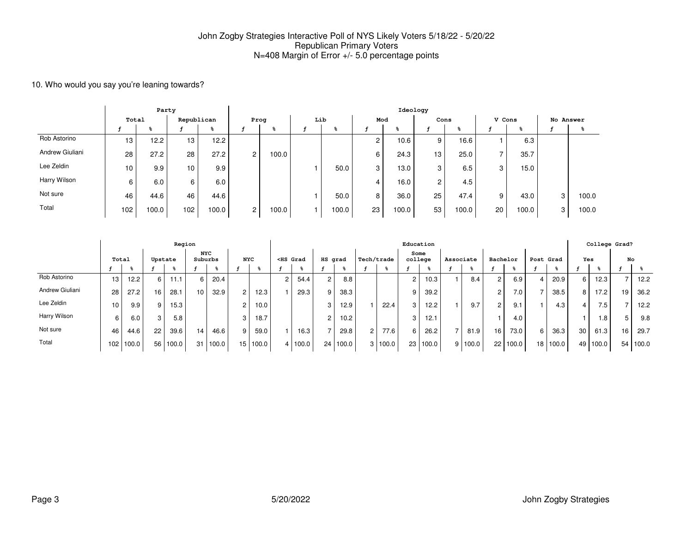### 10. Who would you say you're leaning towards?

|                 |       | Party |                  |       |                |       |     |       |                | Ideology |                 |       |        |       |           |       |
|-----------------|-------|-------|------------------|-------|----------------|-------|-----|-------|----------------|----------|-----------------|-------|--------|-------|-----------|-------|
|                 | Total |       | Republican       |       | Prog           |       | Lib |       | Mod            |          | Cons            |       | V Cons |       | No Answer |       |
|                 |       | ℁     |                  | ℁     |                |       |     |       |                |          |                 |       |        | g     |           |       |
| Rob Astorino    | 13    | 12.2  | 13               | 12.2  |                |       |     |       | $\overline{2}$ | 10.6     | 9               | 16.6  |        | 6.3   |           |       |
| Andrew Giuliani | 28    | 27.2  | 28               | 27.2  | $\overline{2}$ | 100.0 |     |       | 6              | 24.3     | 13 <sub>1</sub> | 25.0  |        | 35.7  |           |       |
| Lee Zeldin      | 10    | 9.9   | 10               | 9.9   |                |       |     | 50.0  | 3              | 13.0     | 3               | 6.5   | 3      | 15.0  |           |       |
| Harry Wilson    | 6     | 6.0   | 6                | 6.0   |                |       |     |       | 4              | 16.0     | $\overline{2}$  | 4.5   |        |       |           |       |
| Not sure        | 46    | 44.6  | 46               | 44.6  |                |       |     | 50.0  | 8              | 36.0     | 25              | 47.4  | 9      | 43.0  | 3         | 100.0 |
| Total           | 102   | 100.0 | 102 <sub>1</sub> | 100.0 | $\overline{2}$ | 100.0 |     | 100.0 | 23             | 100.0    | 53              | 100.0 | 20     | 100.0 | 3         | 100.0 |

|                 |                 |       |         | Region |                       |       |                |          |                                                                                                                                                                                                                                              |       |         |       |                |            | Education      |       |           |         |                |       |                |          |                 |                  | College Grad? |       |
|-----------------|-----------------|-------|---------|--------|-----------------------|-------|----------------|----------|----------------------------------------------------------------------------------------------------------------------------------------------------------------------------------------------------------------------------------------------|-------|---------|-------|----------------|------------|----------------|-------|-----------|---------|----------------|-------|----------------|----------|-----------------|------------------|---------------|-------|
|                 |                 | Total | Upstate |        | <b>NYC</b><br>Suburbs |       | <b>NYC</b>     |          | <hs grad<="" th=""><th></th><th>HS grad</th><th></th><th></th><th>Tech/trade</th><th>college</th><th>Some</th><th>Associate</th><th></th><th>Bachelor</th><th></th><th>Post Grad</th><th></th><th>Yes</th><th></th><th>No</th><th></th></hs> |       | HS grad |       |                | Tech/trade | college        | Some  | Associate |         | Bachelor       |       | Post Grad      |          | Yes             |                  | No            |       |
|                 |                 |       |         |        |                       |       |                |          |                                                                                                                                                                                                                                              |       |         |       |                |            |                |       |           |         |                |       |                |          |                 |                  |               |       |
| Rob Astorino    | 13              | 12.2  | 6.      | 1.1    | 6                     | 20.4  |                |          |                                                                                                                                                                                                                                              | 54.4  | 2       | 8.8   |                |            |                | 10.3  |           | 8.4     | 2              | 6.9   | $\overline{4}$ | 20.9     | 6               | 12.3             |               | 12.2  |
| Andrew Giuliani | 28              | 27.2  | 16      | 28.1   | 10                    | 32.9  | 2 <sub>1</sub> | 12.3     |                                                                                                                                                                                                                                              | 29.3  | 9       | 38.3  |                |            |                | 39.2  |           |         | C              | 7.0   |                | 38.5     | 8               | 17.2             | 19            | 36.2  |
| Lee Zeldin      | 10 <sup>°</sup> | 9.9   | 9       | 15.3   |                       |       | $\overline{2}$ | 10.0     |                                                                                                                                                                                                                                              |       | 3       | 12.9  |                | 22.4       | 3 <sub>1</sub> | 12.2  |           | 9.7     | $\overline{2}$ | 9.1   |                | 4.3      | 4               | 7.5 <sub>1</sub> |               | 12.2  |
| Harry Wilson    |                 | 6.0   | 3       | 5.8    |                       |       | 3              | 18.7     |                                                                                                                                                                                                                                              |       | 2       | 10.2  |                |            |                | 12.1  |           |         |                | 4.0   |                |          |                 | 1.8              | 5             | 9.8   |
| Not sure        | 46              | 44.6  | 22      | 39.6   | 14                    | 46.6  | 9              | 59.0     |                                                                                                                                                                                                                                              | 16.3  |         | 29.8  | $\overline{2}$ | 77.6       | 6              | 26.2  |           | 81.9    | 16             | 73.0  | 6 I            | 36.3     | 30 <sup>1</sup> | 61.3             | 16            | 29.7  |
| Total           | 102             | 100.0 | 56      | 100.0  | 31                    | 100.0 |                | 15 100.0 | 4                                                                                                                                                                                                                                            | 100.0 | 24      | 100.0 |                | 3 100.0    | 23             | 100.0 |           | 9 100.0 | 22             | 100.0 |                | 18 100.0 |                 | 49 100.0         | 54            | 100.0 |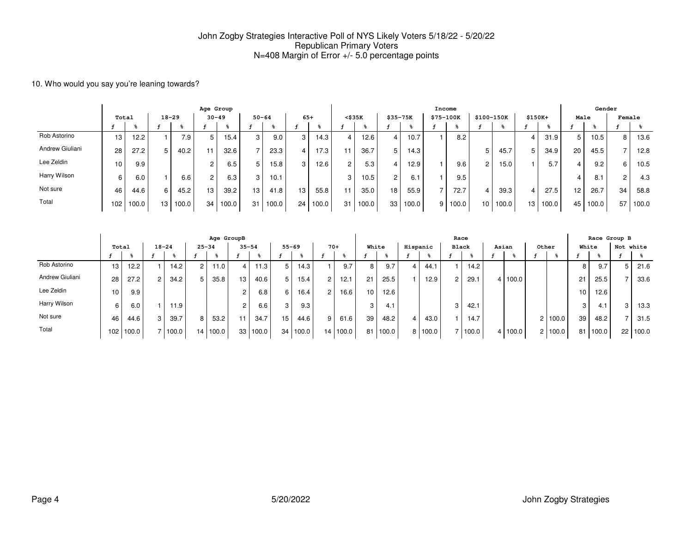#### 10. Who would you say you're leaning towards?

|                 |       |       |                 |           | Age Group      |           |                 |       |       |       |              |       |                |       |           | Income |                |       |          |       |      | Gender |                 |       |
|-----------------|-------|-------|-----------------|-----------|----------------|-----------|-----------------|-------|-------|-------|--------------|-------|----------------|-------|-----------|--------|----------------|-------|----------|-------|------|--------|-----------------|-------|
|                 | Total |       |                 | $18 - 29$ |                | $30 - 49$ | $50 - 64$       |       | $65+$ |       | $<$ \$35 $K$ |       | $$35 - 75K$    |       | \$75-100K |        | \$100-150K     |       | $$150K+$ |       | Male |        | Female          |       |
|                 |       |       |                 |           |                |           |                 |       |       |       |              |       |                |       |           |        |                |       |          |       |      |        |                 |       |
| Rob Astorino    | 13    | 12.2  |                 | 7.9       | 5              | 15.4      | 3 <sub>1</sub>  | 9.0   | 3     | 14.3  |              | 12.6  | 4              | 10.7  |           | 8.2    |                |       |          | 31.9  |      | 10.5   | 8               | 13.6  |
| Andrew Giuliani | 28    | 27.2  |                 | 40.2      | 11             | 32.6      |                 | 23.3  | 4     | 17.3  |              | 36.7  | 5              | 14.3  |           |        | 5              | 45.7  | 5.       | 34.9  | 20   | 45.5   |                 | 12.8  |
| Lee Zeldin      | 10    | 9.9   |                 |           | 2              | 6.5       | 5               | 15.8  | 3     | 12.6  | $\Omega$     | 5.3   | 4              | 12.9  |           | 9.6    | $\overline{2}$ | 15.0  |          | 5.7   |      | 9.2    | 6               | 10.5  |
| Harry Wilson    | 6     | 6.0   |                 | 6.6       | $\overline{2}$ | 6.3       | 3 <sub>1</sub>  | 10.1  |       |       | ◠            | 10.5  | $\overline{2}$ | 6.1   |           | 9.5    |                |       |          |       |      | 8.1    | c               | 4.3   |
| Not sure        | 46    | 44.6  | 6               | 45.2      | 13             | 39.2      | 13 <sub>1</sub> | 41.8  | 13    | 55.8  |              | 35.0  | 18             | 55.9  |           | 72.7   |                | 39.3  |          | 27.5  | 12   | 26.7   | 34 <sub>1</sub> | 58.8  |
| Total           | 102   | 100.0 | 13 <sub>1</sub> | 100.0     | 34             | 0.001     | 31              | 100.0 | 24    | 100.0 | 31           | 100.0 | 33             | 100.0 | 9         | 100.0  | 10             | 100.0 | 13       | 100.0 | 45   | 100.0  | 57 I            | 100.0 |

|                 |       |       |           |       |                | Age GroupB        |                 |          |    |                   |       |       |    |       |   |          | Race  |       |     |         |                |       |                 |       | Race Group B    |       |
|-----------------|-------|-------|-----------|-------|----------------|-------------------|-----------------|----------|----|-------------------|-------|-------|----|-------|---|----------|-------|-------|-----|---------|----------------|-------|-----------------|-------|-----------------|-------|
|                 | Total |       | $18 - 24$ |       | $25 - 34$      |                   | $35 - 54$       |          |    | $55 - 69$         | $70+$ |       |    | White |   | Hispanic | Black |       |     | Asian   |                | Other | White           |       | Not white       |       |
|                 |       |       |           |       |                |                   |                 |          |    |                   |       |       |    |       |   |          |       |       |     |         |                |       |                 |       |                 |       |
| Rob Astorino    | 13    | 12.2  |           | 14.2  | $\overline{c}$ | 11.0 <sub>1</sub> | 4 I             | 11.3     | 5  | 14.3 <sub>1</sub> |       | 9.7   | 8  | 9.7   | 4 | 44.1     |       | 14.2  |     |         |                |       | 8               | 9.7   | $5^{\circ}$     | 21.6  |
| Andrew Giuliani | 28    | 27.2  | 2         | 34.2  | 5              | 35.8              | 13 <sub>1</sub> | 40.6     | 5  | 15.4              | 2     | 12.1  | 21 | 25.5  |   | 12.9     | 2     | 29.1  | 4 I | 100.0   |                |       | 21              | 25.5  |                 | 33.6  |
| Lee Zeldin      | 10    | 9.9   |           |       |                |                   | $\overline{2}$  | 6.8      | 6  | 16.4              | 2     | 16.6  | 10 | 12.6  |   |          |       |       |     |         |                |       | 10 <sup>1</sup> | 12.6  |                 |       |
| Harry Wilson    |       | 6.0   |           | 11.9  |                |                   | $\overline{2}$  | 6.6      | 3  | 9.3               |       |       | 3  | 4.1   |   |          | 3     | 42.1  |     |         |                |       | 3               | 4.1   | 3               | 13.3  |
| Not sure        | 46    | 44.6  | 3         | 39.7  | 8              | 53.2              | 11 <sub>1</sub> | 34.7     | 15 | 44.6              | 9     | 61.6  | 39 | 48.2  | 4 | 43.0     |       | 14.7  |     |         | 2              | 100.0 | 39              | 48.2  |                 | 31.5  |
| Total           | 102   | 100.0 |           | 100.0 | 14 I           | 100.0             |                 | 33 100.0 |    | 34 100.0          | 14    | 100.0 | 81 | 100.0 |   | 100.0    |       | 100.0 |     | 4 100.0 | $\overline{2}$ | 100.0 | 81              | 100.0 | 22 <sub>1</sub> | 100.0 |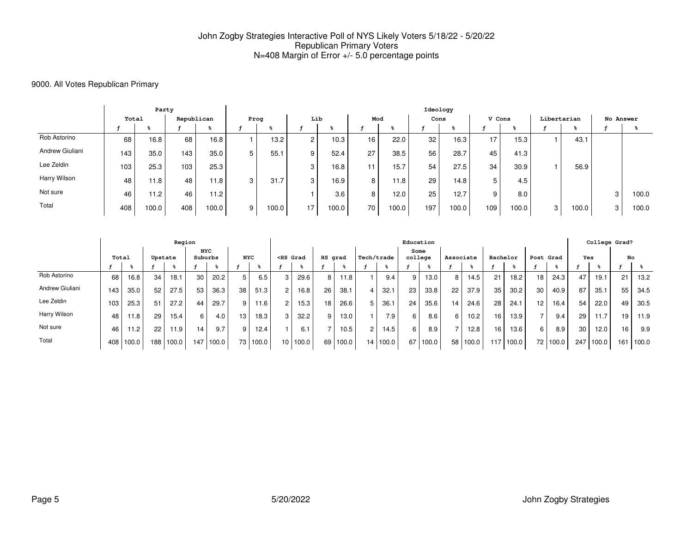### 9000. All Votes Republican Primary

|                 |       | Party |            |                   |   |                   |                |       |     |       | Ideology        |                   |        |       |             |       |           |       |
|-----------------|-------|-------|------------|-------------------|---|-------------------|----------------|-------|-----|-------|-----------------|-------------------|--------|-------|-------------|-------|-----------|-------|
|                 | Total |       | Republican |                   |   | Prog              | Lib            |       | Mod |       | Cons            |                   | V Cons |       | Libertarian |       | No Answer |       |
|                 |       |       |            |                   |   |                   |                |       |     | -75   |                 |                   |        | -6    |             |       |           |       |
| Rob Astorino    | 68    | 16.8  | 68         | 16.8 <sub>1</sub> |   | 13.2 <sub>1</sub> | $\overline{2}$ | 10.3  | 16  | 22.0  | 32 <sub>1</sub> | 16.3 <sub>1</sub> | 17     | 15.3  |             | 43.1  |           |       |
| Andrew Giuliani | 143   | 35.0  | 143.       | 35.0              | 5 | 55.1              | 9              | 52.4  | 27  | 38.5  | 56              | 28.7              | 45     | 41.3  |             |       |           |       |
| Lee Zeldin      | 103   | 25.3  | 103        | 25.3              |   |                   | 3              | 16.8  | 11  | 15.7  | 54              | 27.5              | 34     | 30.9  |             | 56.9  |           |       |
| Harry Wilson    | 48    | 11.8  | 48         | 11.8 <sub>1</sub> | 3 | 31.7              | 3              | 16.9  | 8   | 11.8  | 29              | 14.8              | 5      | 4.5   |             |       |           |       |
| Not sure        | 46    | 11.2  | 46         | 11.2              |   |                   |                | 3.6   | 8   | 12.0  | 25              | 12.7              | 9      | 8.0   |             |       | 3         | 100.0 |
| Total           | 408   | 100.0 | 408        | 100.0             | 9 | 100.0             | 17             | 100.0 | 70  | 100.0 | 197             | 100.0             | 109    | 100.0 | 3           | 100.0 | 3         | 100.0 |

|                 |     |       |         | Region   |                       |       |                |          |                                                                                                                                                                                                                                              |          |         |       |                |          | Education |       |           |       |                 |       |                 |                   |     | College Grad? |     |       |
|-----------------|-----|-------|---------|----------|-----------------------|-------|----------------|----------|----------------------------------------------------------------------------------------------------------------------------------------------------------------------------------------------------------------------------------------------|----------|---------|-------|----------------|----------|-----------|-------|-----------|-------|-----------------|-------|-----------------|-------------------|-----|---------------|-----|-------|
|                 |     | Total | Upstate |          | <b>NYC</b><br>Suburbs |       | <b>NYC</b>     |          | <hs grad<="" th=""><th></th><th>HS grad</th><th></th><th>Tech/trade</th><th></th><th>college</th><th>Some</th><th>Associate</th><th></th><th>Bachelor</th><th></th><th>Post Grad</th><th></th><th>Yes</th><th></th><th>No</th><th></th></hs> |          | HS grad |       | Tech/trade     |          | college   | Some  | Associate |       | Bachelor        |       | Post Grad       |                   | Yes |               | No  |       |
|                 |     |       |         |          |                       |       |                |          |                                                                                                                                                                                                                                              |          |         |       |                |          |           |       |           |       |                 |       |                 |                   |     |               |     |       |
| Rob Astorino    | 68  | 16.8  | 34      | 18.1     | 30                    | 20.2  | 5 <sup>1</sup> | 6.5      |                                                                                                                                                                                                                                              | 29.6     | 8       | 11.8  |                | 9.4      |           | 13.0  |           | 14.5  | 21              | 18.2  | 18 <sub>1</sub> | 24.3              | 47  | 19.1          | 21  | 13.2  |
| Andrew Giuliani | 143 | 35.0  | 52      | 27.5     | 53                    | 36.3  | 38             | 51.3     | $\overline{2}$                                                                                                                                                                                                                               | 16.8     | 26      | 38.1  |                | 32.1     | 23        | 33.8  | 22        | 37.9  | 35 <sub>1</sub> | 30.2  | 30              | 40.9              | 87  | 35.1          | 55  | 34.5  |
| Lee Zeldin      | 103 | 25.3  | 51      | 27.2     | 44                    | 29.7  | 9 <sup>1</sup> | 11.6     | 2                                                                                                                                                                                                                                            | 15.3     | 18      | 26.6  | 5              | 36.1     | 24        | 35.6  | 14        | 24.6  | 28              | 24.1  | 12 <sub>1</sub> | 16.4 <sub>1</sub> | 54  | 22.0          | 49  | 30.5  |
| Harry Wilson    | 48  | 11.8  | 29      | 15.4     | 6                     | 4.0   | 13.            | 18.3     | 3                                                                                                                                                                                                                                            | 32.2     | 9       | 13.0  |                | 7.9      | 6.        | 8.6   | 6         | 10.2  | 16              | 13.9  |                 | 9.4               | 29  | 11.7          | 19  | 11.9  |
| Not sure        | 46  | 11.2  | 22      | $11.9 -$ | 14                    | 9.7   | 9              | 12.4     |                                                                                                                                                                                                                                              | 6.1      |         | 10.5  | $\overline{2}$ | 14.5     | 6.        | 8.9   |           | 12.8  | 16              | 13.6  | 6               | 8.9               | 30  | 12.0          | 16  | 9.9   |
| Total           | 408 | 100.0 | 188     | 100.0    | 147                   | 100.0 |                | 73 100.0 |                                                                                                                                                                                                                                              | 10 100.0 | 69      | 100.0 |                | 14 100.0 | 67        | 100.0 | 58        | 100.0 | 117             | 100.0 |                 | 72 100.0          | 247 | 100.0         | 161 | 100.0 |